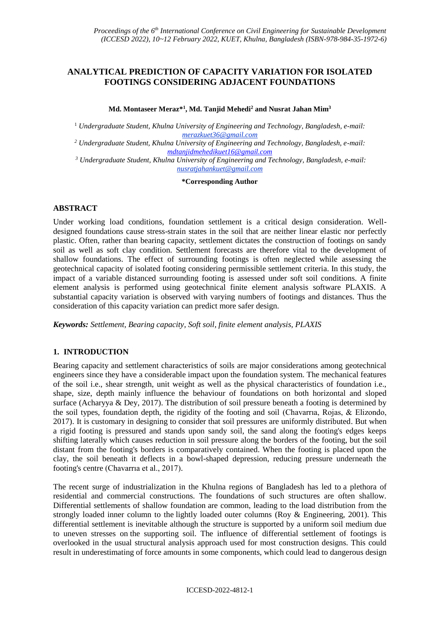# **ANALYTICAL PREDICTION OF CAPACITY VARIATION FOR ISOLATED FOOTINGS CONSIDERING ADJACENT FOUNDATIONS**

#### **Md. Montaseer Meraz\* 1 , Md. Tanjid Mehedi<sup>2</sup> and Nusrat Jahan Mim<sup>3</sup>**

<sup>1</sup> *Undergraduate Student, Khulna University of Engineering and Technology, Bangladesh, e-mail: merazkuet36@gmail.com*

*<sup>2</sup> Undergraduate Student, Khulna University of Engineering and Technology, Bangladesh, e-mail: [mdtanjidmehedikuet16@gmail.com](mailto:mdtanjidmehedikuet16@gmail.com)*

*<sup>3</sup> Undergraduate Student, Khulna University of Engineering and Technology, Bangladesh, e-mail: nusratjahankuet@gmail.com*

**\*Corresponding Author**

## **ABSTRACT**

Under working load conditions, foundation settlement is a critical design consideration. Welldesigned foundations cause stress-strain states in the soil that are neither linear elastic nor perfectly plastic. Often, rather than bearing capacity, settlement dictates the construction of footings on sandy soil as well as soft clay condition. Settlement forecasts are therefore vital to the development of shallow foundations. The effect of surrounding footings is often neglected while assessing the geotechnical capacity of isolated footing considering permissible settlement criteria. In this study, the impact of a variable distanced surrounding footing is assessed under soft soil conditions. A finite element analysis is performed using geotechnical finite element analysis software PLAXIS. A substantial capacity variation is observed with varying numbers of footings and distances. Thus the consideration of this capacity variation can predict more safer design.

*Keywords: Settlement, Bearing capacity, Soft soil, finite element analysis, PLAXIS*

## **1. INTRODUCTION**

Bearing capacity and settlement characteristics of soils are major considerations among geotechnical engineers since they have a considerable impact upon the foundation system. The mechanical features of the soil i.e., shear strength, unit weight as well as the physical characteristics of foundation i.e., shape, size, depth mainly influence the behaviour of foundations on both horizontal and sloped surface (Acharyya & Dey, 2017). The distribution of soil pressure beneath a footing is determined by the soil types, foundation depth, the rigidity of the footing and soil (Chavarrıa, Rojas, & Elizondo, 2017). It is customary in designing to consider that soil pressures are uniformly distributed. But when a rigid footing is pressured and stands upon sandy soil, the sand along the footing's edges keeps shifting laterally which causes reduction in soil pressure along the borders of the footing, but the soil distant from the footing's borders is comparatively contained. When the footing is placed upon the clay, the soil beneath it deflects in a bowl-shaped depression, reducing pressure underneath the footing's centre (Chavarrıa et al., 2017).

The recent surge of industrialization in the Khulna regions of Bangladesh has led to a plethora of residential and commercial constructions. The foundations of such structures are often shallow. Differential settlements of shallow foundation are common, leading to the load distribution from the strongly loaded inner column to the lightly loaded outer columns (Roy & Engineering, 2001). This differential settlement is inevitable although the structure is supported by a uniform soil medium due to uneven stresses on the supporting soil. The influence of differential settlement of footings is overlooked in the usual structural analysis approach used for most construction designs. This could result in underestimating of force amounts in some components, which could lead to dangerous design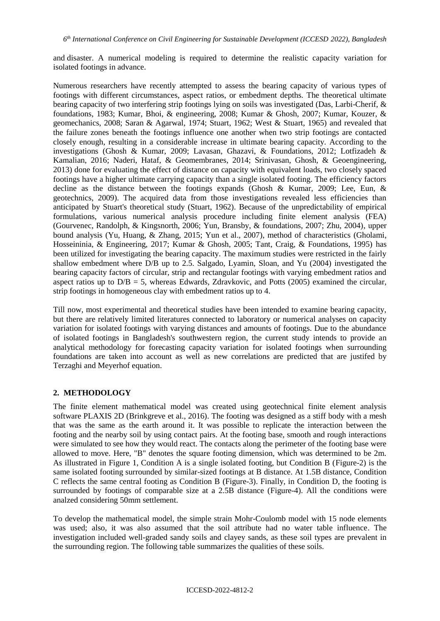and disaster. A numerical modeling is required to determine the realistic capacity variation for isolated footings in advance.

Numerous researchers have recently attempted to assess the bearing capacity of various types of footings with different circumstances, aspect ratios, or embedment depths. The theoretical ultimate bearing capacity of two interfering strip footings lying on soils was investigated (Das, Larbi-Cherif, & foundations, 1983; Kumar, Bhoi, & engineering, 2008; Kumar & Ghosh, 2007; Kumar, Kouzer, & geomechanics, 2008; Saran & Agarwal, 1974; Stuart, 1962; West & Stuart, 1965) and revealed that the failure zones beneath the footings influence one another when two strip footings are contacted closely enough, resulting in a considerable increase in ultimate bearing capacity. According to the investigations (Ghosh & Kumar, 2009; Lavasan, Ghazavi, & Foundations, 2012; Lotfizadeh & Kamalian, 2016; Naderi, Hataf, & Geomembranes, 2014; Srinivasan, Ghosh, & Geoengineering, 2013) done for evaluating the effect of distance on capacity with equivalent loads, two closely spaced footings have a higher ultimate carrying capacity than a single isolated footing. The efficiency factors decline as the distance between the footings expands (Ghosh & Kumar, 2009; Lee, Eun, & geotechnics, 2009). The acquired data from those investigations revealed less efficiencies than anticipated by Stuart's theoretical study (Stuart, 1962). Because of the unpredictability of empirical formulations, various numerical analysis procedure including finite element analysis (FEA) (Gourvenec, Randolph, & Kingsnorth, 2006; Yun, Bransby, & foundations, 2007; Zhu, 2004), upper bound analysis (Yu, Huang, & Zhang, 2015; Yun et al., 2007), method of characteristics (Gholami, Hosseininia, & Engineering, 2017; Kumar & Ghosh, 2005; Tant, Craig, & Foundations, 1995) has been utilized for investigating the bearing capacity. The maximum studies were restricted in the fairly shallow embedment where D/B up to 2.5. Salgado, Lyamin, Sloan, and Yu (2004) investigated the bearing capacity factors of circular, strip and rectangular footings with varying embedment ratios and aspect ratios up to  $D/B = 5$ , whereas Edwards, Zdravkovic, and Potts (2005) examined the circular, strip footings in homogeneous clay with embedment ratios up to 4.

Till now, most experimental and theoretical studies have been intended to examine bearing capacity, but there are relatively limited literatures connected to laboratory or numerical analyses on capacity variation for isolated footings with varying distances and amounts of footings. Due to the abundance of isolated footings in Bangladesh's southwestern region, the current study intends to provide an analytical methodology for forecasting capacity variation for isolated footings when surrounding foundations are taken into account as well as new correlations are predicted that are justifed by Terzaghi and Meyerhof equation.

## **2. METHODOLOGY**

The finite element mathematical model was created using geotechnical finite element analysis software PLAXIS 2D (Brinkgreve et al., 2016). The footing was designed as a stiff body with a mesh that was the same as the earth around it. It was possible to replicate the interaction between the footing and the nearby soil by using contact pairs. At the footing base, smooth and rough interactions were simulated to see how they would react. The contacts along the perimeter of the footing base were allowed to move. Here, "B" denotes the square footing dimension, which was determined to be 2m. As illustrated in Figure 1, Condition A is a single isolated footing, but Condition B (Figure-2) is the same isolated footing surrounded by similar-sized footings at B distance. At 1.5B distance, Condition C reflects the same central footing as Condition B (Figure-3). Finally, in Condition D, the footing is surrounded by footings of comparable size at a 2.5B distance (Figure-4). All the conditions were analzed considering 50mm settlement.

To develop the mathematical model, the simple strain Mohr-Coulomb model with 15 node elements was used; also, it was also assumed that the soil attribute had no water table influence. The investigation included well-graded sandy soils and clayey sands, as these soil types are prevalent in the surrounding region. The following table summarizes the qualities of these soils.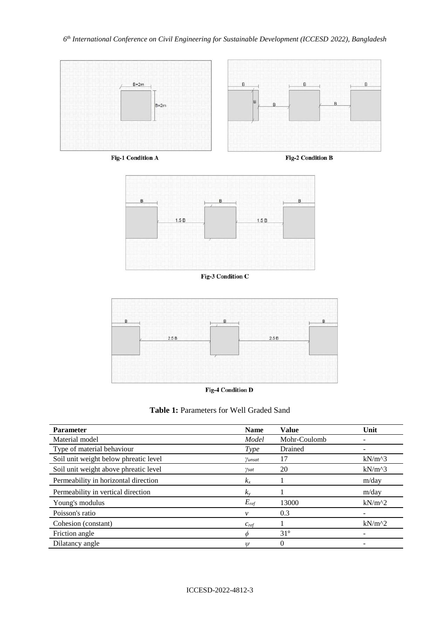

**Fig-1 Condition A** 

Fig-2 Condition B



Fig-3 Condition C



**Fig-4 Condition D** 

| <b>Table 1:</b> Parameters for Well Graded Sand |  |  |  |
|-------------------------------------------------|--|--|--|
|-------------------------------------------------|--|--|--|

| <b>Parameter</b>                      | <b>Name</b> | <b>Value</b> | Unit     |
|---------------------------------------|-------------|--------------|----------|
| Material model                        | Model       | Mohr-Coulomb |          |
| Type of material behaviour            | Type        | Drained      |          |
| Soil unit weight below phreatic level | Yunsat      | 17           | $kN/m^3$ |
| Soil unit weight above phreatic level | Ysat        | 20           | $kN/m^3$ |
| Permeability in horizontal direction  | $k_{x}$     |              | m/day    |
| Permeability in vertical direction    | $k_v$       |              | m/day    |
| Young's modulus                       | $E_{ref}$   | 13000        | $kN/m^2$ |
| Poisson's ratio                       | v           | 0.3          | -        |
| Cohesion (constant)                   | $c_{ref}$   |              | $kN/m^2$ |
| Friction angle                        |             | $31^\circ$   |          |
| Dilatancy angle                       | Ψ           | 0            |          |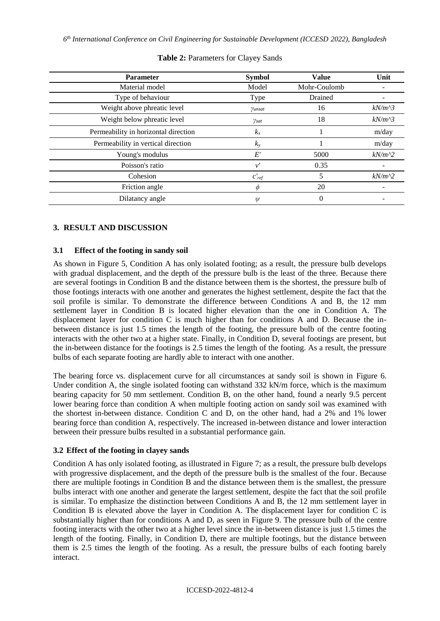*6 th International Conference on Civil Engineering for Sustainable Development (ICCESD 2022), Bangladesh*

| <b>Parameter</b>                     | <b>Symbol</b>           | <b>Value</b> | Unit     |
|--------------------------------------|-------------------------|--------------|----------|
| Material model                       | Model                   | Mohr-Coulomb |          |
| Type of behaviour                    | Type                    | Drained      |          |
| Weight above phreatic level          | $\gamma$ unsat          | 16           | $kN/m^3$ |
| Weight below phreatic level          | $\gamma_{\textit{sat}}$ | 18           | $kN/m^3$ |
| Permeability in horizontal direction | $k_x$                   |              | m/day    |
| Permeability in vertical direction   | $k_{y}$                 |              | m/day    |
| Young's modulus                      | $E^{\prime}$            | 5000         | $kN/m^2$ |
| Poisson's ratio                      | $\nu'$                  | 0.35         |          |
| Cohesion                             | $c'_{ref}$              |              | $kN/m^2$ |
| Friction angle                       | Ф                       | 20           |          |
| Dilatancy angle                      | $\psi$                  | 0            |          |

## **Table 2:** Parameters for Clayey Sands

# **3. RESULT AND DISCUSSION**

## **3.1 Effect of the footing in sandy soil**

As shown in Figure 5, Condition A has only isolated footing; as a result, the pressure bulb develops with gradual displacement, and the depth of the pressure bulb is the least of the three. Because there are several footings in Condition B and the distance between them is the shortest, the pressure bulb of those footings interacts with one another and generates the highest settlement, despite the fact that the soil profile is similar. To demonstrate the difference between Conditions A and B, the 12 mm settlement layer in Condition B is located higher elevation than the one in Condition A. The displacement layer for condition C is much higher than for conditions A and D. Because the inbetween distance is just 1.5 times the length of the footing, the pressure bulb of the centre footing interacts with the other two at a higher state. Finally, in Condition D, several footings are present, but the in-between distance for the footings is 2.5 times the length of the footing. As a result, the pressure bulbs of each separate footing are hardly able to interact with one another.

The bearing force vs. displacement curve for all circumstances at sandy soil is shown in Figure 6. Under condition A, the single isolated footing can withstand 332 kN/m force, which is the maximum bearing capacity for 50 mm settlement. Condition B, on the other hand, found a nearly 9.5 percent lower bearing force than condition A when multiple footing action on sandy soil was examined with the shortest in-between distance. Condition C and D, on the other hand, had a 2% and 1% lower bearing force than condition A, respectively. The increased in-between distance and lower interaction between their pressure bulbs resulted in a substantial performance gain.

## **3.2 Effect of the footing in clayey sands**

Condition A has only isolated footing, as illustrated in Figure 7; as a result, the pressure bulb develops with progressive displacement, and the depth of the pressure bulb is the smallest of the four. Because there are multiple footings in Condition B and the distance between them is the smallest, the pressure bulbs interact with one another and generate the largest settlement, despite the fact that the soil profile is similar. To emphasize the distinction between Conditions A and B, the 12 mm settlement layer in Condition B is elevated above the layer in Condition A. The displacement layer for condition C is substantially higher than for conditions A and D, as seen in Figure 9. The pressure bulb of the centre footing interacts with the other two at a higher level since the in-between distance is just 1.5 times the length of the footing. Finally, in Condition D, there are multiple footings, but the distance between them is 2.5 times the length of the footing. As a result, the pressure bulbs of each footing barely interact.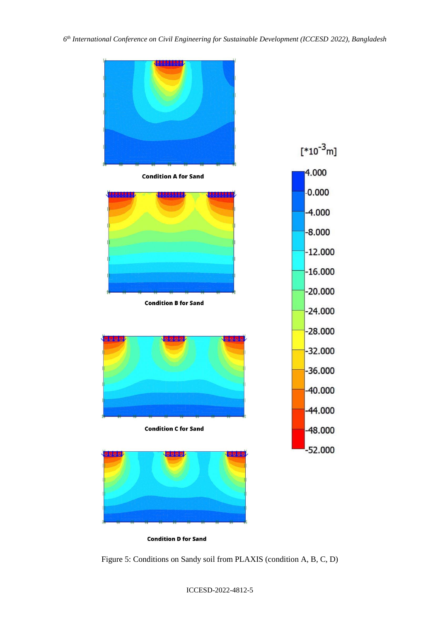

**Condition D for Sand** 

Figure 5: Conditions on Sandy soil from PLAXIS (condition A, B, C, D)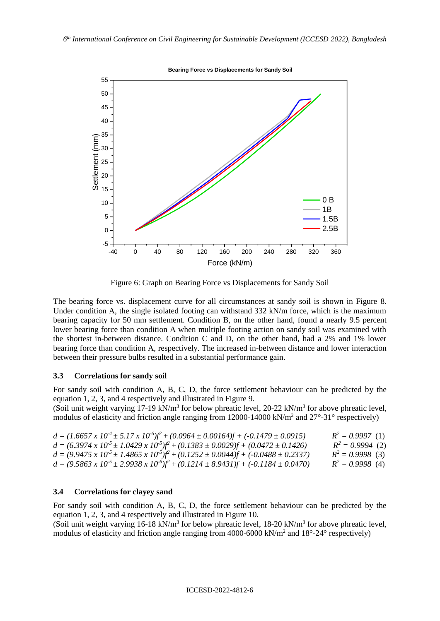

Figure 6: Graph on Bearing Force vs Displacements for Sandy Soil

The bearing force vs. displacement curve for all circumstances at sandy soil is shown in Figure 8. Under condition A, the single isolated footing can withstand 332 kN/m force, which is the maximum bearing capacity for 50 mm settlement. Condition B, on the other hand, found a nearly 9.5 percent lower bearing force than condition A when multiple footing action on sandy soil was examined with the shortest in-between distance. Condition C and D, on the other hand, had a 2% and 1% lower bearing force than condition A, respectively. The increased in-between distance and lower interaction between their pressure bulbs resulted in a substantial performance gain.

#### **3.3 Correlations for sandy soil**

For sandy soil with condition A, B, C, D, the force settlement behaviour can be predicted by the equation 1, 2, 3, and 4 respectively and illustrated in Figure 9.

(Soil unit weight varying 17-19 kN/m<sup>3</sup> for below phreatic level, 20-22 kN/m<sup>3</sup> for above phreatic level, modulus of elasticity and friction angle ranging from 12000-14000 kN/m<sup>2</sup> and 27°-31° respectively)

| $d = (1.6657 \times 10^{4} \pm 5.17 \times 10^{6})f^{2} + (0.0964 \pm 0.00164)f + (-0.1479 \pm 0.0915)$    | $R^2 = 0.9997(1)$  |
|------------------------------------------------------------------------------------------------------------|--------------------|
| $d = (6.3974 \times 10^{5} \pm 1.0429 \times 10^{5})f^{2} + (0.1383 \pm 0.0029)f + (0.0472 \pm 0.1426)$    | $R^2 = 0.9994$ (2) |
| $d = (9.9475 \times 10^{-5} \pm 1.4865 \times 10^{-5})f^{2} + (0.1252 \pm 0.0044)f + (-0.0488 \pm 0.2337)$ | $R^2 = 0.9998$ (3) |
| $d = (9.5863 \times 10^{5} \pm 2.9938 \times 10^{6})f^{2} + (0.1214 \pm 8.9431)f + (-0.1184 \pm 0.0470)$   | $R^2 = 0.9998$ (4) |

#### **3.4 Correlations for clayey sand**

For sandy soil with condition A, B, C, D, the force settlement behaviour can be predicted by the equation 1, 2, 3, and 4 respectively and illustrated in Figure 10.

(Soil unit weight varying 16-18 kN/m<sup>3</sup> for below phreatic level, 18-20 kN/m<sup>3</sup> for above phreatic level, modulus of elasticity and friction angle ranging from 4000-6000 kN/m<sup>2</sup> and 18°-24° respectively)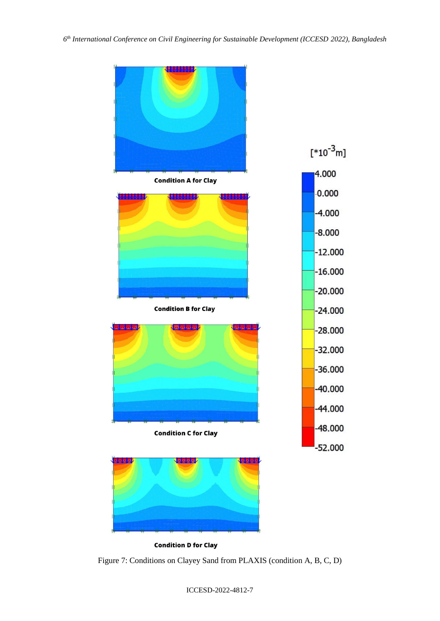

Figure 7: Conditions on Clayey Sand from PLAXIS (condition A, B, C, D)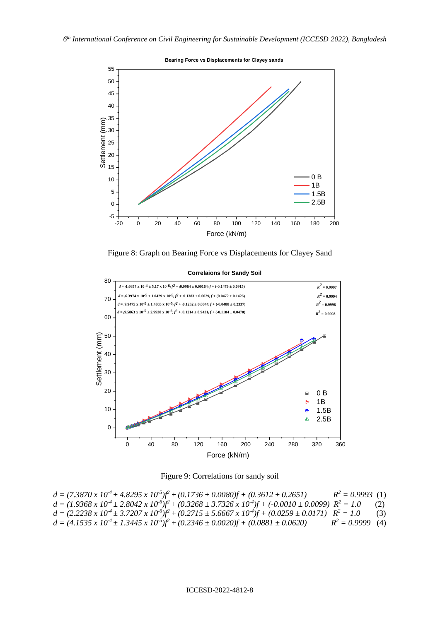

Figure 8: Graph on Bearing Force vs Displacements for Clayey Sand



**Correlaions for Sandy Soil**

Figure 9: Correlations for sandy soil

| $d = (7.3870 \times 10^{4} \pm 4.8295 \times 10^{5})f^{2} + (0.1736 \pm 0.0080)f + (0.3612 \pm 0.2651)$                             | $R^2 = 0.9993$ (1) |     |
|-------------------------------------------------------------------------------------------------------------------------------------|--------------------|-----|
| $d = (1.9368 \times 10^{4} \pm 2.8042 \times 10^{6})f^{2} + (0.3268 \pm 3.7326 \times 10^{4})f + (-0.0010 \pm 0.0099) R^{2} = 1.0$  |                    | (2) |
| $d = (2.2238 \times 10^{4} \pm 3.7207 \times 10^{6})f^{2} + (0.2715 \pm 5.6667 \times 10^{4})f + (0.0259 \pm 0.0171)$ $R^{2} = 1.0$ |                    | (3) |
| $d = (4.1535 \times 10^{4} \pm 1.3445 \times 10^{3})f^{2} + (0.2346 \pm 0.0020)f + (0.0881 \pm 0.0620)$                             | $R^2 = 0.9999$ (4) |     |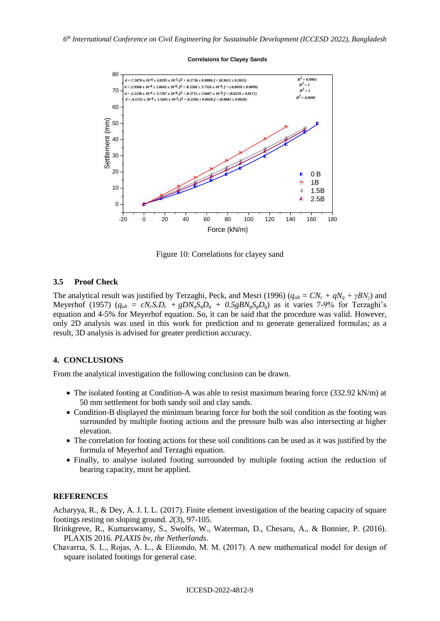#### **Correlaions for Clayey Sands**



Figure 10: Correlations for clayey sand

#### **3.5 Proof Check**

The analytical result was justified by Terzaghi, Peck, and Mesri (1996) ( $q_{\mu l} = CN_c + qN_a + \gamma BN_{\nu}$ ) and Meyerhof (1957)  $(q_{ult} = cN_cS_cD_c + gDN_qS_qD_q + 0.5gBN_gS_gD_g)$  as it varies 7-9% for Terzaghi's equation and 4-5% for Meyerhof equation. So, it can be said that the procedure was valid. However, only 2D analysis was used in this work for prediction and to generate generalized formulas; as a result, 3D analysis is advised for greater prediction accuracy.

#### **4. CONCLUSIONS**

From the analytical investigation the following conclusion can be drawn.

- The isolated footing at Condition-A was able to resist maximum bearing force (332.92 kN/m) at 50 mm settlement for both sandy soil and clay sands.
- Condition-B displayed the minimum bearing force for both the soil condition as the footing was surrounded by multiple footing actions and the pressure bulb was also intersecting at higher elevation.
- The correlation for footing actions for these soil conditions can be used as it was justified by the formula of Meyerhof and Terzaghi equation.
- Finally, to analyse isolated footing surrounded by multiple footing action the reduction of bearing capacity, must be applied.

#### **REFERENCES**

Acharyya, R., & Dey, A. J. I. L. (2017). Finite element investigation of the bearing capacity of square footings resting on sloping ground. *2*(3), 97-105.

Brinkgreve, R., Kumarswamy, S., Swolfs, W., Waterman, D., Chesaru, A., & Bonnier, P. (2016). PLAXIS 2016. *PLAXIS bv, the Netherlands*.

Chavarrıa, S. L., Rojas, A. L., & Elizondo, M. M. (2017). A new mathematical model for design of square isolated footings for general case.